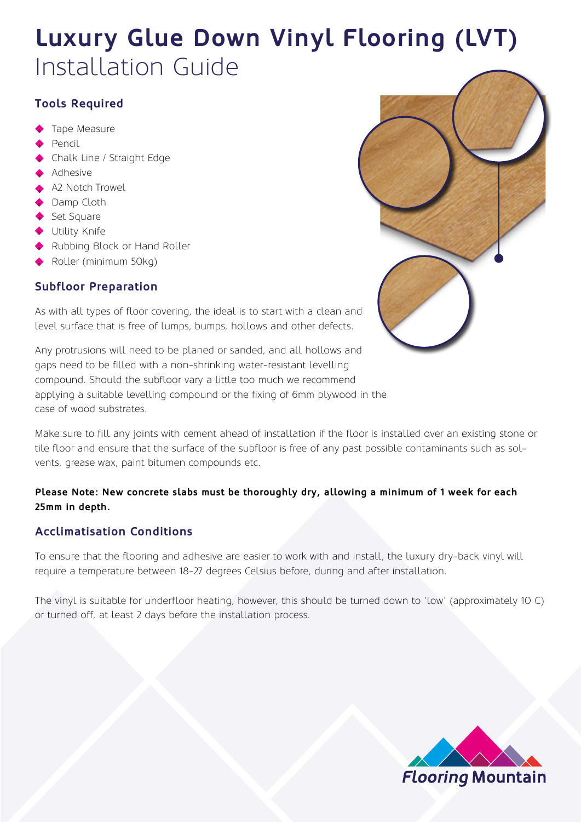## **Luxury Glue Down Vinyl Flooring (LVT)** Installation Guide

## **Tools Required**

- Tape Measure
- Pencil
- Chalk Line / Straight Edge
- Adhesive
- A2 Notch Trowel
- Damp Cloth
- Set Square
- ◆ Utility Knife
- Rubbing Block or Hand Roller
- Roller (minimum 50kg)

### **Subfloor Preparation**

As with all types of floor covering, the ideal is to start with a clean and level surface that is free of lumps, bumps, hollows and other defects.

Any protrusions will need to be planed or sanded, and all hollows and gaps need to be filled with a non-shrinking water-resistant levelling compound. Should the subfloor vary a little too much we recommend applying a suitable levelling compound or the fixing of 6mm plywood in the case of wood substrates.

Make sure to fill any joints with cement ahead of installation if the floor is installed over an existing stone or tile floor and ensure that the surface of the subfloor is free of any past possible contaminants such as solvents, grease wax, paint bitumen compounds etc.

### **Please Note: New concrete slabs must be thoroughly dry, allowing a minimum of 1 week for each 25mm in depth.**

## **Acclimatisation Conditions**

To ensure that the flooring and adhesive are easier to work with and install, the luxury dry-back vinyl will require a temperature between 18-27 degrees Celsius before, during and after installation.

The vinyl is suitable for underfloor heating, however, this should be turned down to 'low' (approximately 10 C) or turned off, at least 2 days before the installation process.